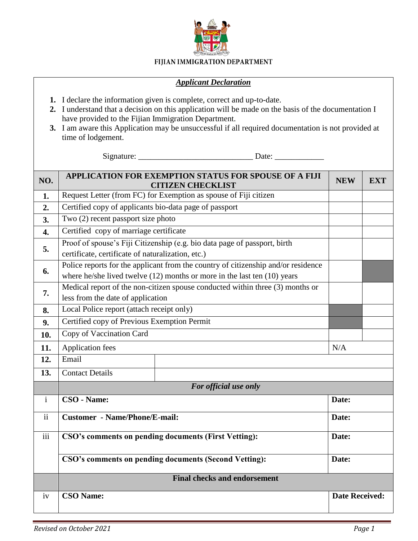

## FIJIAN IMMIGRATION DEPARTMENT

## *Applicant Declaration*

- **1.** I declare the information given is complete, correct and up-to-date.
- **2.** I understand that a decision on this application will be made on the basis of the documentation I have provided to the Fijian Immigration Department.
- **3.** I am aware this Application may be unsuccessful if all required documentation is not provided at time of lodgement.

Signature: \_\_\_\_\_\_\_\_\_\_\_\_\_\_\_\_\_\_\_\_\_\_\_\_\_\_\_\_ Date: \_\_\_\_\_\_\_\_\_\_\_\_

| NO.              | APPLICATION FOR EXEMPTION STATUS FOR SPOUSE OF A FIJI<br><b>CITIZEN CHECKLIST</b>                                                                                 | <b>NEW</b>            | <b>EXT</b> |  |
|------------------|-------------------------------------------------------------------------------------------------------------------------------------------------------------------|-----------------------|------------|--|
| 1.               | Request Letter (from FC) for Exemption as spouse of Fiji citizen                                                                                                  |                       |            |  |
| 2.               | Certified copy of applicants bio-data page of passport                                                                                                            |                       |            |  |
| 3.               | Two (2) recent passport size photo                                                                                                                                |                       |            |  |
| $\overline{4}$ . | Certified copy of marriage certificate                                                                                                                            |                       |            |  |
| 5.               | Proof of spouse's Fiji Citizenship (e.g. bio data page of passport, birth<br>certificate, certificate of naturalization, etc.)                                    |                       |            |  |
| 6.               | Police reports for the applicant from the country of citizenship and/or residence<br>where he/she lived twelve $(12)$ months or more in the last ten $(10)$ years |                       |            |  |
| 7.               | Medical report of the non-citizen spouse conducted within three (3) months or<br>less from the date of application                                                |                       |            |  |
| 8.               | Local Police report (attach receipt only)                                                                                                                         |                       |            |  |
| 9.               | Certified copy of Previous Exemption Permit                                                                                                                       |                       |            |  |
| 10.              | Copy of Vaccination Card                                                                                                                                          |                       |            |  |
| 11.              | <b>Application fees</b>                                                                                                                                           | N/A                   |            |  |
| 12.              | Email                                                                                                                                                             |                       |            |  |
| 13.              | <b>Contact Details</b>                                                                                                                                            |                       |            |  |
|                  | For official use only                                                                                                                                             |                       |            |  |
| $\mathbf{i}$     | CSO - Name:                                                                                                                                                       | Date:                 |            |  |
| $\mathbf{ii}$    | <b>Customer</b> - Name/Phone/E-mail:                                                                                                                              | Date:                 |            |  |
| $\overline{iii}$ | CSO's comments on pending documents (First Vetting):                                                                                                              | Date:                 |            |  |
|                  | CSO's comments on pending documents (Second Vetting):                                                                                                             | Date:                 |            |  |
|                  | <b>Final checks and endorsement</b>                                                                                                                               |                       |            |  |
| iv               | <b>CSO Name:</b>                                                                                                                                                  | <b>Date Received:</b> |            |  |